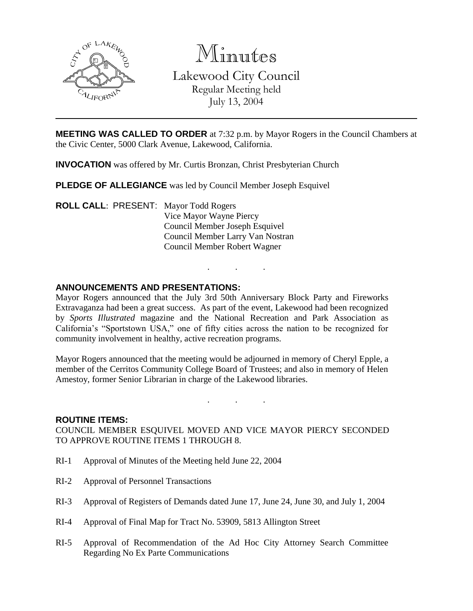

Minutes

Lakewood City Council Regular Meeting held July 13, 2004

**MEETING WAS CALLED TO ORDER** at 7:32 p.m. by Mayor Rogers in the Council Chambers at the Civic Center, 5000 Clark Avenue, Lakewood, California.

**INVOCATION** was offered by Mr. Curtis Bronzan, Christ Presbyterian Church

**PLEDGE OF ALLEGIANCE** was led by Council Member Joseph Esquivel

**ROLL CALL**: PRESENT: Mayor Todd Rogers Vice Mayor Wayne Piercy Council Member Joseph Esquivel Council Member Larry Van Nostran Council Member Robert Wagner

## **ANNOUNCEMENTS AND PRESENTATIONS:**

Mayor Rogers announced that the July 3rd 50th Anniversary Block Party and Fireworks Extravaganza had been a great success. As part of the event, Lakewood had been recognized by *Sports Illustrated* magazine and the National Recreation and Park Association as California's "Sportstown USA," one of fifty cities across the nation to be recognized for community involvement in healthy, active recreation programs.

. . .

Mayor Rogers announced that the meeting would be adjourned in memory of Cheryl Epple, a member of the Cerritos Community College Board of Trustees; and also in memory of Helen Amestoy, former Senior Librarian in charge of the Lakewood libraries.

. . .

#### **ROUTINE ITEMS:**

COUNCIL MEMBER ESQUIVEL MOVED AND VICE MAYOR PIERCY SECONDED TO APPROVE ROUTINE ITEMS 1 THROUGH 8.

- RI-1 Approval of Minutes of the Meeting held June 22, 2004
- RI-2 Approval of Personnel Transactions
- RI-3 Approval of Registers of Demands dated June 17, June 24, June 30, and July 1, 2004
- RI-4 Approval of Final Map for Tract No. 53909, 5813 Allington Street
- RI-5 Approval of Recommendation of the Ad Hoc City Attorney Search Committee Regarding No Ex Parte Communications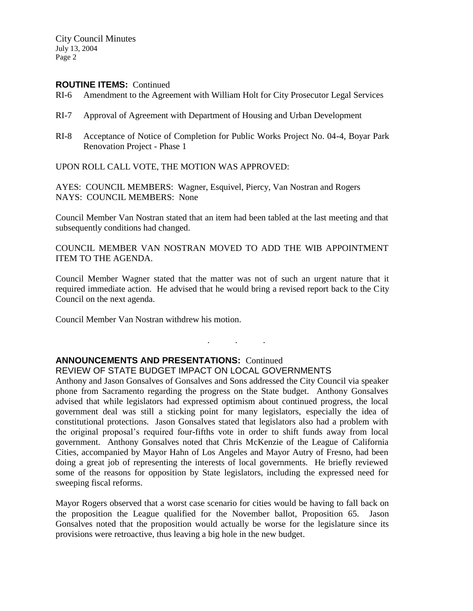City Council Minutes July 13, 2004 Page 2

#### **ROUTINE ITEMS:** Continued

- RI-6 Amendment to the Agreement with William Holt for City Prosecutor Legal Services
- RI-7 Approval of Agreement with Department of Housing and Urban Development
- RI-8 Acceptance of Notice of Completion for Public Works Project No. 04-4, Boyar Park Renovation Project - Phase 1

UPON ROLL CALL VOTE, THE MOTION WAS APPROVED:

AYES: COUNCIL MEMBERS: Wagner, Esquivel, Piercy, Van Nostran and Rogers NAYS: COUNCIL MEMBERS: None

Council Member Van Nostran stated that an item had been tabled at the last meeting and that subsequently conditions had changed.

COUNCIL MEMBER VAN NOSTRAN MOVED TO ADD THE WIB APPOINTMENT ITEM TO THE AGENDA.

Council Member Wagner stated that the matter was not of such an urgent nature that it required immediate action. He advised that he would bring a revised report back to the City Council on the next agenda.

. . .

Council Member Van Nostran withdrew his motion.

#### **ANNOUNCEMENTS AND PRESENTATIONS:** Continued

REVIEW OF STATE BUDGET IMPACT ON LOCAL GOVERNMENTS

Anthony and Jason Gonsalves of Gonsalves and Sons addressed the City Council via speaker phone from Sacramento regarding the progress on the State budget. Anthony Gonsalves advised that while legislators had expressed optimism about continued progress, the local government deal was still a sticking point for many legislators, especially the idea of constitutional protections. Jason Gonsalves stated that legislators also had a problem with the original proposal's required four-fifths vote in order to shift funds away from local government. Anthony Gonsalves noted that Chris McKenzie of the League of California Cities, accompanied by Mayor Hahn of Los Angeles and Mayor Autry of Fresno, had been doing a great job of representing the interests of local governments. He briefly reviewed some of the reasons for opposition by State legislators, including the expressed need for sweeping fiscal reforms.

Mayor Rogers observed that a worst case scenario for cities would be having to fall back on the proposition the League qualified for the November ballot, Proposition 65. Jason Gonsalves noted that the proposition would actually be worse for the legislature since its provisions were retroactive, thus leaving a big hole in the new budget.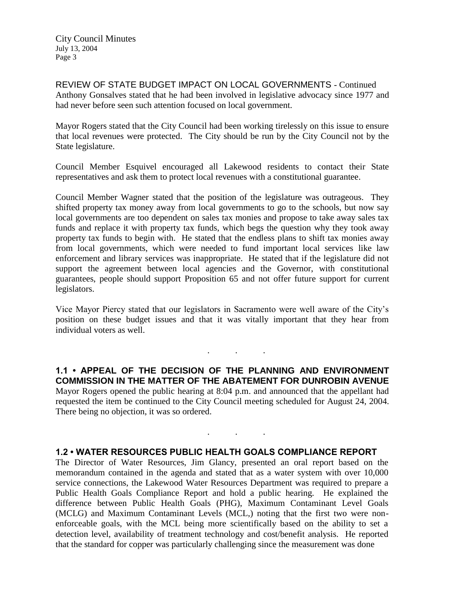City Council Minutes July 13, 2004 Page 3

REVIEW OF STATE BUDGET IMPACT ON LOCAL GOVERNMENTS - Continued Anthony Gonsalves stated that he had been involved in legislative advocacy since 1977 and had never before seen such attention focused on local government.

Mayor Rogers stated that the City Council had been working tirelessly on this issue to ensure that local revenues were protected. The City should be run by the City Council not by the State legislature.

Council Member Esquivel encouraged all Lakewood residents to contact their State representatives and ask them to protect local revenues with a constitutional guarantee.

Council Member Wagner stated that the position of the legislature was outrageous. They shifted property tax money away from local governments to go to the schools, but now say local governments are too dependent on sales tax monies and propose to take away sales tax funds and replace it with property tax funds, which begs the question why they took away property tax funds to begin with. He stated that the endless plans to shift tax monies away from local governments, which were needed to fund important local services like law enforcement and library services was inappropriate. He stated that if the legislature did not support the agreement between local agencies and the Governor, with constitutional guarantees, people should support Proposition 65 and not offer future support for current legislators.

Vice Mayor Piercy stated that our legislators in Sacramento were well aware of the City's position on these budget issues and that it was vitally important that they hear from individual voters as well.

. . .

**1.1 • APPEAL OF THE DECISION OF THE PLANNING AND ENVIRONMENT COMMISSION IN THE MATTER OF THE ABATEMENT FOR DUNROBIN AVENUE** Mayor Rogers opened the public hearing at 8:04 p.m. and announced that the appellant had requested the item be continued to the City Council meeting scheduled for August 24, 2004. There being no objection, it was so ordered.

. . .

# **1.2 • WATER RESOURCES PUBLIC HEALTH GOALS COMPLIANCE REPORT**

The Director of Water Resources, Jim Glancy, presented an oral report based on the memorandum contained in the agenda and stated that as a water system with over 10,000 service connections, the Lakewood Water Resources Department was required to prepare a Public Health Goals Compliance Report and hold a public hearing. He explained the difference between Public Health Goals (PHG), Maximum Contaminant Level Goals (MCLG) and Maximum Contaminant Levels (MCL,) noting that the first two were nonenforceable goals, with the MCL being more scientifically based on the ability to set a detection level, availability of treatment technology and cost/benefit analysis. He reported that the standard for copper was particularly challenging since the measurement was done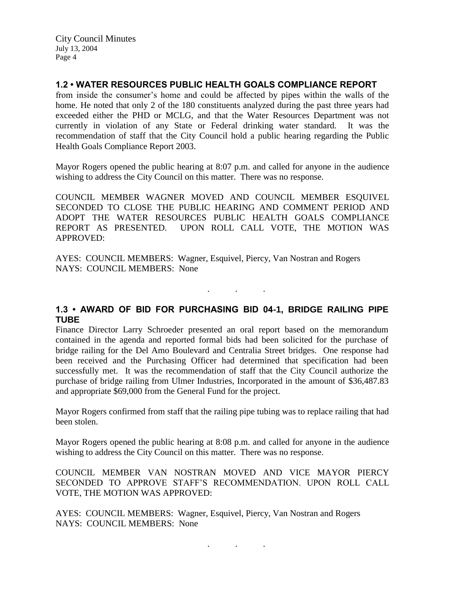# **1.2 • WATER RESOURCES PUBLIC HEALTH GOALS COMPLIANCE REPORT**

from inside the consumer's home and could be affected by pipes within the walls of the home. He noted that only 2 of the 180 constituents analyzed during the past three years had exceeded either the PHD or MCLG, and that the Water Resources Department was not currently in violation of any State or Federal drinking water standard. It was the recommendation of staff that the City Council hold a public hearing regarding the Public Health Goals Compliance Report 2003.

Mayor Rogers opened the public hearing at 8:07 p.m. and called for anyone in the audience wishing to address the City Council on this matter. There was no response.

COUNCIL MEMBER WAGNER MOVED AND COUNCIL MEMBER ESQUIVEL SECONDED TO CLOSE THE PUBLIC HEARING AND COMMENT PERIOD AND ADOPT THE WATER RESOURCES PUBLIC HEALTH GOALS COMPLIANCE REPORT AS PRESENTED. UPON ROLL CALL VOTE, THE MOTION WAS APPROVED:

AYES: COUNCIL MEMBERS: Wagner, Esquivel, Piercy, Van Nostran and Rogers NAYS: COUNCIL MEMBERS: None

## **1.3 • AWARD OF BID FOR PURCHASING BID 04-1, BRIDGE RAILING PIPE TUBE**

. . .

Finance Director Larry Schroeder presented an oral report based on the memorandum contained in the agenda and reported formal bids had been solicited for the purchase of bridge railing for the Del Amo Boulevard and Centralia Street bridges. One response had been received and the Purchasing Officer had determined that specification had been successfully met. It was the recommendation of staff that the City Council authorize the purchase of bridge railing from Ulmer Industries, Incorporated in the amount of \$36,487.83 and appropriate \$69,000 from the General Fund for the project.

Mayor Rogers confirmed from staff that the railing pipe tubing was to replace railing that had been stolen.

Mayor Rogers opened the public hearing at 8:08 p.m. and called for anyone in the audience wishing to address the City Council on this matter. There was no response.

COUNCIL MEMBER VAN NOSTRAN MOVED AND VICE MAYOR PIERCY SECONDED TO APPROVE STAFF'S RECOMMENDATION. UPON ROLL CALL VOTE, THE MOTION WAS APPROVED:

AYES: COUNCIL MEMBERS: Wagner, Esquivel, Piercy, Van Nostran and Rogers NAYS: COUNCIL MEMBERS: None

. . .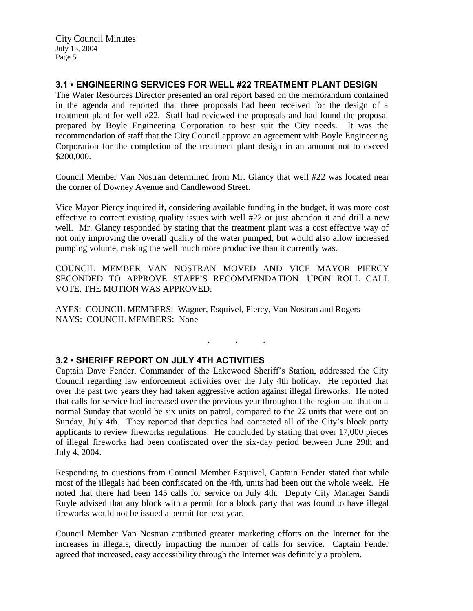# **3.1 • ENGINEERING SERVICES FOR WELL #22 TREATMENT PLANT DESIGN**

The Water Resources Director presented an oral report based on the memorandum contained in the agenda and reported that three proposals had been received for the design of a treatment plant for well #22. Staff had reviewed the proposals and had found the proposal prepared by Boyle Engineering Corporation to best suit the City needs. It was the recommendation of staff that the City Council approve an agreement with Boyle Engineering Corporation for the completion of the treatment plant design in an amount not to exceed \$200,000.

Council Member Van Nostran determined from Mr. Glancy that well #22 was located near the corner of Downey Avenue and Candlewood Street.

Vice Mayor Piercy inquired if, considering available funding in the budget, it was more cost effective to correct existing quality issues with well #22 or just abandon it and drill a new well. Mr. Glancy responded by stating that the treatment plant was a cost effective way of not only improving the overall quality of the water pumped, but would also allow increased pumping volume, making the well much more productive than it currently was.

COUNCIL MEMBER VAN NOSTRAN MOVED AND VICE MAYOR PIERCY SECONDED TO APPROVE STAFF'S RECOMMENDATION. UPON ROLL CALL VOTE, THE MOTION WAS APPROVED:

. . .

AYES: COUNCIL MEMBERS: Wagner, Esquivel, Piercy, Van Nostran and Rogers NAYS: COUNCIL MEMBERS: None

## **3.2 • SHERIFF REPORT ON JULY 4TH ACTIVITIES**

Captain Dave Fender, Commander of the Lakewood Sheriff's Station, addressed the City Council regarding law enforcement activities over the July 4th holiday. He reported that over the past two years they had taken aggressive action against illegal fireworks. He noted that calls for service had increased over the previous year throughout the region and that on a normal Sunday that would be six units on patrol, compared to the 22 units that were out on Sunday, July 4th. They reported that deputies had contacted all of the City's block party applicants to review fireworks regulations. He concluded by stating that over 17,000 pieces of illegal fireworks had been confiscated over the six-day period between June 29th and July 4, 2004.

Responding to questions from Council Member Esquivel, Captain Fender stated that while most of the illegals had been confiscated on the 4th, units had been out the whole week. He noted that there had been 145 calls for service on July 4th. Deputy City Manager Sandi Ruyle advised that any block with a permit for a block party that was found to have illegal fireworks would not be issued a permit for next year.

Council Member Van Nostran attributed greater marketing efforts on the Internet for the increases in illegals, directly impacting the number of calls for service. Captain Fender agreed that increased, easy accessibility through the Internet was definitely a problem.